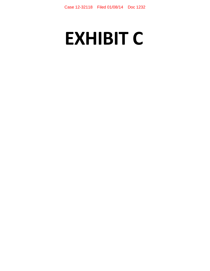# **EXHIBIT C**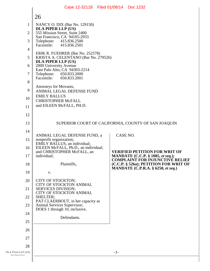| 26                                                       |                                                                                                                                                                                                                                                                                                                                                                                      |                                                                                                                                                                                                                                                                                                                    |
|----------------------------------------------------------|--------------------------------------------------------------------------------------------------------------------------------------------------------------------------------------------------------------------------------------------------------------------------------------------------------------------------------------------------------------------------------------|--------------------------------------------------------------------------------------------------------------------------------------------------------------------------------------------------------------------------------------------------------------------------------------------------------------------|
| NANCY O. DIX (Bar No. 129150)                            |                                                                                                                                                                                                                                                                                                                                                                                      |                                                                                                                                                                                                                                                                                                                    |
| 555 Mission Street, Suite 2400                           |                                                                                                                                                                                                                                                                                                                                                                                      |                                                                                                                                                                                                                                                                                                                    |
| Telephone:<br>415.836.2500                               |                                                                                                                                                                                                                                                                                                                                                                                      |                                                                                                                                                                                                                                                                                                                    |
|                                                          |                                                                                                                                                                                                                                                                                                                                                                                      |                                                                                                                                                                                                                                                                                                                    |
|                                                          |                                                                                                                                                                                                                                                                                                                                                                                      |                                                                                                                                                                                                                                                                                                                    |
| 2000 University Avenue                                   |                                                                                                                                                                                                                                                                                                                                                                                      |                                                                                                                                                                                                                                                                                                                    |
| Telephone:<br>650.833.2000<br>Facsimile:<br>650.833.2001 |                                                                                                                                                                                                                                                                                                                                                                                      |                                                                                                                                                                                                                                                                                                                    |
|                                                          |                                                                                                                                                                                                                                                                                                                                                                                      |                                                                                                                                                                                                                                                                                                                    |
|                                                          |                                                                                                                                                                                                                                                                                                                                                                                      |                                                                                                                                                                                                                                                                                                                    |
| <b>CHRISTOPHER McFALL</b>                                |                                                                                                                                                                                                                                                                                                                                                                                      |                                                                                                                                                                                                                                                                                                                    |
|                                                          |                                                                                                                                                                                                                                                                                                                                                                                      |                                                                                                                                                                                                                                                                                                                    |
|                                                          |                                                                                                                                                                                                                                                                                                                                                                                      |                                                                                                                                                                                                                                                                                                                    |
|                                                          |                                                                                                                                                                                                                                                                                                                                                                                      |                                                                                                                                                                                                                                                                                                                    |
|                                                          | CASE NO.                                                                                                                                                                                                                                                                                                                                                                             |                                                                                                                                                                                                                                                                                                                    |
| EMILY BALLUS, an individual;                             |                                                                                                                                                                                                                                                                                                                                                                                      |                                                                                                                                                                                                                                                                                                                    |
| and CHRISTOPHER McFALL, an                               |                                                                                                                                                                                                                                                                                                                                                                                      | <b>VERIFIED PETITION FOR WRIT OF</b>                                                                                                                                                                                                                                                                               |
|                                                          |                                                                                                                                                                                                                                                                                                                                                                                      | MANDATE (C.C.P. § 1085, et seq.);<br><b>COMPLAINT FOR INJUNCTIVE RELIEF</b>                                                                                                                                                                                                                                        |
|                                                          |                                                                                                                                                                                                                                                                                                                                                                                      | (C.C.P. § 526a); PETITION FOR WRIT OF<br><b>MANDATE</b> (C.P.R.A. § 6250, et seq.)                                                                                                                                                                                                                                 |
|                                                          |                                                                                                                                                                                                                                                                                                                                                                                      |                                                                                                                                                                                                                                                                                                                    |
| <b>CITY OF STOCKTON ANIMAL</b>                           |                                                                                                                                                                                                                                                                                                                                                                                      |                                                                                                                                                                                                                                                                                                                    |
| CITY OF STOCKTON ANIMAL                                  |                                                                                                                                                                                                                                                                                                                                                                                      |                                                                                                                                                                                                                                                                                                                    |
|                                                          |                                                                                                                                                                                                                                                                                                                                                                                      |                                                                                                                                                                                                                                                                                                                    |
| DOES 1 through 10, inclusive,                            |                                                                                                                                                                                                                                                                                                                                                                                      |                                                                                                                                                                                                                                                                                                                    |
| Defendants.                                              |                                                                                                                                                                                                                                                                                                                                                                                      |                                                                                                                                                                                                                                                                                                                    |
|                                                          |                                                                                                                                                                                                                                                                                                                                                                                      |                                                                                                                                                                                                                                                                                                                    |
|                                                          |                                                                                                                                                                                                                                                                                                                                                                                      |                                                                                                                                                                                                                                                                                                                    |
|                                                          |                                                                                                                                                                                                                                                                                                                                                                                      |                                                                                                                                                                                                                                                                                                                    |
|                                                          | $-1-$                                                                                                                                                                                                                                                                                                                                                                                |                                                                                                                                                                                                                                                                                                                    |
|                                                          |                                                                                                                                                                                                                                                                                                                                                                                      |                                                                                                                                                                                                                                                                                                                    |
|                                                          | <b>DLA PIPER LLP (US)</b><br>San Francisco, CA 94105-2933<br>Facsimile: 415.836.2501<br>DLA PIPER LLP (US)<br>East Palo Alto, CA 94303-2214<br>Attorneys for Movants,<br><b>EMILY BALLUS</b><br>and EILEEN McFALL, PH.D.<br>nonprofit organization;<br>individual;<br>Plaintiffs,<br>V.<br>CITY OF STOCKTON;<br><b>SERVICES DIVISION;</b><br>SHELTER;<br>Animal Services Supervisor; | Case 12-32118 Filed 01/08/14 Doc 1232<br>ERIK R. FUEHRER (Bar No. 252578)<br>KRISTA A. CELENTANO (Bar No. 279526)<br>ANIMAL LEGAL DEFENSE FUND<br>SUPERIOR COURT OF CALIFORNIA, COUNTY OF SAN JOAQUIN<br>ANIMAL LEGAL DEFENSE FUND, a<br>EILEEN McFALL, Ph.D., an individual;<br>PAT CLAERBOUT, in her capacity as |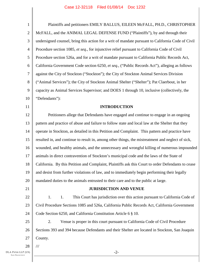| $\mathbf{1}$     | Plaintiffs and petitioners EMILY BALLUS, EILEEN McFALL, PH.D., CHRISTOPHER                         |  |  |  |  |
|------------------|----------------------------------------------------------------------------------------------------|--|--|--|--|
| $\overline{2}$   | McFALL, and the ANIMAL LEGAL DEFENSE FUND ("Plaintiffs"), by and through their                     |  |  |  |  |
| 3                | undersigned counsel, bring this action for a writ of mandate pursuant to California Code of Civil  |  |  |  |  |
| $\overline{4}$   | Procedure section 1085, et seq., for injunctive relief pursuant to California Code of Civil        |  |  |  |  |
| 5                | Procedure section 526a, and for a writ of mandate pursuant to California Public Records Act,       |  |  |  |  |
| 6                | California Government Code section 6250, et seq., ("Public Records Act"), alleging as follows      |  |  |  |  |
| $\boldsymbol{7}$ | against the City of Stockton ("Stockton"); the City of Stockton Animal Services Division           |  |  |  |  |
| 8                | ("Animal Services"); the City of Stockton Animal Shelter ("Shelter"); Pat Claerbout, in her        |  |  |  |  |
| 9                | capacity as Animal Services Supervisor; and DOES 1 through 10, inclusive (collectively, the        |  |  |  |  |
| 10               | "Defendants"):                                                                                     |  |  |  |  |
| 11               | <b>INTRODUCTION</b>                                                                                |  |  |  |  |
| 12               | Petitioners allege that Defendants have engaged and continue to engage in an ongoing               |  |  |  |  |
| 13               | pattern and practice of abuse and failure to follow state and local law at the Shelter that they   |  |  |  |  |
| 14               | operate in Stockton, as detailed in this Petition and Complaint. This pattern and practice have    |  |  |  |  |
| 15               | resulted in, and continue to result in, among other things, the mistreatment and neglect of sick,  |  |  |  |  |
| 16               | wounded, and healthy animals, and the unnecessary and wrongful killing of numerous impounded       |  |  |  |  |
| 17               | animals in direct contravention of Stockton's municipal code and the laws of the State of          |  |  |  |  |
| 18               | California. By this Petition and Complaint, Plaintiffs ask this Court to order Defendants to cease |  |  |  |  |
| 19               | and desist from further violations of law, and to immediately begin performing their legally       |  |  |  |  |
| 20               | mandated duties to the animals entrusted to their care and to the public at large.                 |  |  |  |  |
| 21               | <b>JURISDICTION AND VENUE</b>                                                                      |  |  |  |  |
| 22               | 1.<br>This Court has jurisdiction over this action pursuant to California Code of<br>1.            |  |  |  |  |
| 23               | Civil Procedure Sections 1085 and 526a, California Public Records Act, California Government       |  |  |  |  |
| 24               | Code Section 6250, and California Constitution Article 6 § 10.                                     |  |  |  |  |
| 25               | 2.<br>Venue is proper in this court pursuant to California Code of Civil Procedure                 |  |  |  |  |
| 26               | Sections 393 and 394 because Defendants and their Shelter are located in Stockton, San Joaquin     |  |  |  |  |
| 27               | County.                                                                                            |  |  |  |  |
| 28               | $\frac{1}{1}$                                                                                      |  |  |  |  |
| (US)             | $-2-$                                                                                              |  |  |  |  |

I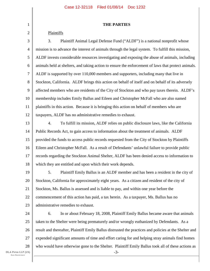|  | <b>THE PARTIES</b> |  |
|--|--------------------|--|
|--|--------------------|--|

## Plaintiffs

1

2

3 4 5 6 7 8 9 10 11 12 3. Plaintiff Animal Legal Defense Fund ("ALDF") is a national nonprofit whose mission is to advance the interest of animals through the legal system. To fulfill this mission, ALDF invests considerable resources investigating and exposing the abuse of animals, including animals held at shelters, and taking action to ensure the enforcement of laws that protect animals. ALDF is supported by over 110,000 members and supporters, including many that live in Stockton, California. ALDF brings this action on behalf of itself and on behalf of its adversely affected members who are residents of the City of Stockton and who pay taxes therein. ALDF's membership includes Emily Ballus and Eileen and Christopher McFall who are also named plaintiffs in this action. Because it is bringing this action on behalf of members who are taxpayers, ALDF has no administrative remedies to exhaust.

13 14 15 16 17 18 4. To fulfill its mission, ALDF relies on public disclosure laws, like the California Public Records Act, to gain access to information about the treatment of animals. ALDF provided the funds to access public records requested from the City of Stockton by Plaintiffs Eileen and Christopher McFall. As a result of Defendants' unlawful failure to provide public records regarding the Stockton Animal Shelter, ALDF has been denied access to information to which they are entitled and upon which their work depends.

19 20 21 22 23 5. Plaintiff Emily Ballus is an ALDF member and has been a resident in the city of Stockton, California for approximately eight years. As a citizen and resident of the city of Stockton, Ms. Ballus is assessed and is liable to pay, and within one year before the commencement of this action has paid, a tax herein. As a taxpayer, Ms. Ballus has no administrative remedies to exhaust.

24 25 26 27 28 -3- 6. In or about February 18, 2008, Plaintiff Emily Ballus became aware that animals taken to the Shelter were being prematurely and/or wrongly euthanized by Defendants. As a result and thereafter, Plaintiff Emily Ballus distrusted the practices and policies at the Shelter and expended significant amounts of time and effort caring for and helping stray animals find homes who would have otherwise gone to the Shelter. Plaintiff Emily Ballus took all of these actions as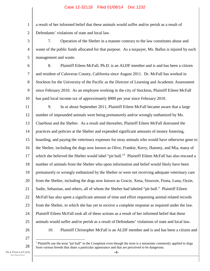a result of her informed belief that these animals would suffer and/or perish as a result of Defendants' violations of state and local law.

3 4 5 7. Operation of the Shelter in a manner contrary to the law constitutes abuse and waste of the public funds allocated for that purpose. As a taxpayer, Ms. Ballus is injured by such management and waste.

6

1

2

7 8 9 10 8. Plaintiff Eileen McFall, Ph.D. is an ALDF member and is and has been a citizen and resident of Calaveras County, California since August 2011. Dr. McFall has worked in Stockton for the University of the Pacific as the Director of Learning and Academic Assessment since February 2010. As an employee working in the city of Stockton, Plaintiff Eileen McFall has paid local income tax of approximately \$900 per year since February 2010.

11 12 13 14 15 16 17 18 19 20 21 22 23 24 25 9. In or about September 2011, Plaintiff Eileen McFall became aware that a large number of impounded animals were being prematurely and/or wrongly euthanized by Ms. Claerbout and the Shelter. As a result and thereafter, Plaintiff Eileen McFall distrusted the practices and policies at the Shelter and expended significant amounts of money fostering, boarding, and paying the veterinary expenses for stray animals who would have otherwise gone to the Shelter, including the dogs now known as Olive, Frankie, Kerry, Hammy, and Mia, many of which she believed the Shelter would label "pit bull."<sup>1</sup> Plaintiff Eileen McFall has also rescued a number of animals from the Shelter who upon information and belief would likely have been prematurely or wrongly euthanized by the Shelter or were not receiving adequate veterinary care from the Shelter, including the dogs now known as Gracie, Xena, Siouxsie, Fiona, Luna, Ozzie, Sadie, Sebastian, and others, all of whom the Shelter had labeled "pit bull." Plaintiff Eileen McFall has also spent a significant amount of time and effort requesting animal related records from the Shelter, to which she has yet to receive a complete response as required under the law. Plaintiff Eileen McFall took all of these actions as a result of her informed belief that these animals would suffer and/or perish as a result of Defendants' violations of state and local law. 10. Plaintiff Christopher McFall is an ALDF member and is and has been a citizen and

26

27

28

 $\overline{a}$  $<sup>1</sup>$  Plaintiffs use the term "pit bull" in the Complaint even though the term is a misnomer commonly applied to dogs</sup> from various breeds that share a particular appearance and that are perceived to be dangerous.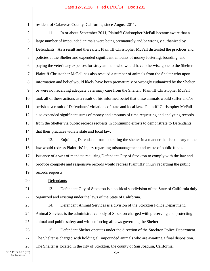resident of Calaveras County, California, since August 2011.

2 3 4 5 6 7 8 9 10 11 12 13 14 11. In or about September 2011, Plaintiff Christopher McFall became aware that a large number of impounded animals were being prematurely and/or wrongly euthanized by Defendants. As a result and thereafter, Plaintiff Christopher McFall distrusted the practices and policies at the Shelter and expended significant amounts of money fostering, boarding, and paying the veterinary expenses for stray animals who would have otherwise gone to the Shelter. Plaintiff Christopher McFall has also rescued a number of animals from the Shelter who upon information and belief would likely have been prematurely or wrongly euthanized by the Shelter or were not receiving adequate veterinary care from the Shelter. Plaintiff Christopher McFall took all of these actions as a result of his informed belief that these animals would suffer and/or perish as a result of Defendants' violations of state and local law. Plaintiff Christopher McFall also expended significant sums of money and amounts of time requesting and analyzing records from the Shelter via public records requests in continuing efforts to demonstrate to Defendants that their practices violate state and local law.

15 16 17 18 19 12. Enjoining Defendants from operating the shelter in a manner that is contrary to the law would redress Plaintiffs' injury regarding mismanagement and waste of public funds. Issuance of a writ of mandate requiring Defendant City of Stockton to comply with the law and produce complete and responsive records would redress Plaintiffs' injury regarding the public records requests.

Defendants

21 22 13. Defendant City of Stockton is a political subdivision of the State of California duly organized and existing under the laws of the State of California.

23 24

25

20

1

14. Defendant Animal Services is a division of the Stockton Police Department. Animal Services is the administrative body of Stockton charged with preserving and protecting animal and public safety and with enforcing all laws governing the Shelter.

26 27 28 15. Defendant Shelter operates under the direction of the Stockton Police Department. The Shelter is charged with holding all impounded animals who are awaiting a final disposition. The Shelter is located in the city of Stockton, the county of San Joaquin, California.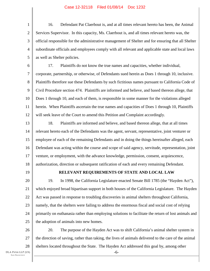1 2 3 4 5 16. Defendant Pat Claerbout is, and at all times relevant hereto has been, the Animal Services Supervisor. In this capacity, Ms. Claerbout is, and all times relevant hereto was, the official responsible for the administrative management of Shelter and for ensuring that all Shelter subordinate officials and employees comply with all relevant and applicable state and local laws as well as Shelter policies.

6 7 8 9 10 11 12 17. Plaintiffs do not know the true names and capacities, whether individual, corporate, partnership, or otherwise, of Defendants sued herein as Does 1 through 10, inclusive. Plaintiffs therefore sue these Defendants by such fictitious names pursuant to California Code of Civil Procedure section 474. Plaintiffs are informed and believe, and based thereon allege, that Does 1 through 10, and each of them, is responsible in some manner for the violations alleged herein. When Plaintiffs ascertain the true names and capacities of Does 1 through 10, Plaintiffs will seek leave of the Court to amend this Petition and Complaint accordingly.

13 14 15 16 17 18 18. Plaintiffs are informed and believe, and based thereon allege, that at all times relevant hereto each of the Defendants was the agent, servant, representative, joint venturer or employee of each of the remaining Defendants and in doing the things hereinafter alleged, each Defendant was acting within the course and scope of said agency, servitude, representation, joint venture, or employment, with the advance knowledge, permission, consent, acquiescence, authorization, direction or subsequent ratification of each and every remaining Defendant.

19

## **RELEVANT REQUIREMENTS OF STATE AND LOCAL LAW**

20 21 22 23 24 25 19. In 1998, the California Legislature enacted Senate Bill 1785 (the "Hayden Act"), which enjoyed broad bipartisan support in both houses of the California Legislature. The Hayden Act was passed in response to troubling discoveries in animal shelters throughout California, namely, that the shelters were failing to address the enormous fiscal and social cost of relying primarily on euthanasia rather than employing solutions to facilitate the return of lost animals and the adoption of animals into new homes.

26 27 28 20. The purpose of the Hayden Act was to shift California's animal shelter system in the direction of saving, rather than taking, the lives of animals delivered to the care of the animal shelters located throughout the State. The Hayden Act addressed this goal by, among other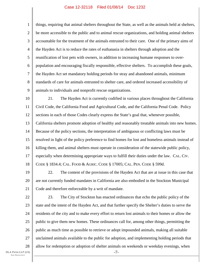1 2 3 4 5 6 7 8 9 things, requiring that animal shelters throughout the State, as well as the animals held at shelters, be more accessible to the public and to animal rescue organizations, and holding animal shelters accountable for the treatment of the animals entrusted to their care. One of the primary aims of the Hayden Act is to reduce the rates of euthanasia in shelters through adoption and the reunification of lost pets with owners, in addition to increasing humane responses to overpopulation and encouraging fiscally responsible, effective shelters. To accomplish these goals, the Hayden Act set mandatory holding periods for stray and abandoned animals, minimum standards of care for animals entrusted to shelter care, and ordered increased accessibility of animals to individuals and nonprofit rescue organizations.

10 11 12 13 14 15 16 17 18 21. The Hayden Act is currently codified in various places throughout the California Civil Code, the California Food and Agricultural Code, and the California Penal Code. Policy sections in each of those Codes clearly express the State's goal that, whenever possible, California shelters promote adoption of healthy and reasonably treatable animals into new homes. Because of the policy sections, the interpretation of ambiguous or conflicting laws must be resolved in light of the policy preference to find homes for lost and homeless animals instead of killing them, and animal shelters must operate in consideration of the statewide public policy, especially when determining appropriate ways to fulfill their duties under the law. CAL. CIV. CODE § 1834.4; CAL. FOOD & AGRIC. CODE § 17005; CAL. PEN. CODE § 599d.

19 20 21 22. The content of the provisions of the Hayden Act that are at issue in this case that are not currently funded mandates in California are also embodied in the Stockton Municipal Code and therefore enforceable by a writ of mandate.

22 23 24 25 26 27 28 -7- 23. The City of Stockton has enacted ordinances that echo the public policy of the state and the intent of the Hayden Act, and that further specify the Shelter's duties to serve the residents of the city and to make every effort to return lost animals to their homes or allow the public to give them new homes. These ordinances call for, among other things, permitting the public as much time as possible to retrieve or adopt impounded animals, making all suitable unclaimed animals available to the public for adoption, and implementing holding periods that allow for redemption or adoption of shelter animals on weekends or weekday evenings, when

DLA PIPER LLP (US) SAN FRANCISCO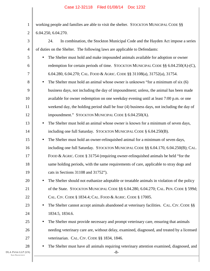| $\mathbf{1}$                                     | working people and families are able to visit the shelter. STOCKTON MUNICIPAL CODE §§                         |
|--------------------------------------------------|---------------------------------------------------------------------------------------------------------------|
| 2                                                | 6.04.250, 6.04.270.                                                                                           |
| 3                                                | In combination, the Stockton Municipal Code and the Hayden Act impose a series<br>24.                         |
| 4                                                | of duties on the Shelter. The following laws are applicable to Defendants:                                    |
| 5                                                | The Shelter must hold and make impounded animals available for adoption or owner<br>$\bullet$                 |
| 6                                                | redemption for certain periods of time. STOCKTON MUNICIPAL CODE §§ 6.04.250(A)-(C),                           |
| 7                                                | 6.04.280, 6.04.270; CAL. FOOD & AGRIC. CODE §§ 31108(a), 31752(a), 31754.                                     |
| 8                                                | The Shelter must hold an animal whose owner is unknown "for a minimum of six (6)<br>$\bullet$                 |
| 9                                                | business days, not including the day of impoundment; unless, the animal has been made                         |
| 10                                               | available for owner redemption on one weekday evening until at least 7:00 p.m. or one                         |
| 11                                               | weekend day, the holding period shall be four (4) business days, not including the day of                     |
| 12                                               | impoundment." STOCKTON MUNICIPAL CODE § 6.04.250(A).                                                          |
| 13                                               | The Shelter must hold an animal whose owner is known for a minimum of seven days,<br>$\bullet$                |
| 14                                               | including one full Saturday. STOCKTON MUNICIPAL CODE § 6.04.250(B).                                           |
| 15                                               | The Shelter must hold an owner-relinquished animal for a minimum of seven days,<br>$\bullet$                  |
| 16                                               | including one full Saturday. STOCKTON MUNICIPAL CODE §§ 6.04.170, 6.04.250(B); CAL.                           |
| 17                                               | FOOD & AGRIC. CODE § 31754 (requiring owner-relinquished animals be held "for the                             |
| 18                                               | same holding periods, with the same requirements of care, applicable to stray dogs and                        |
| 19                                               | cats in Sections 31108 and 31752").                                                                           |
| 20                                               | The Shelter should not euthanize adoptable or treatable animals in violation of the policy                    |
| 21                                               | of the State. STOCKTON MUNICIPAL CODE §§ 6.04.280, 6.04.270; CAL. PEN. CODE § 599d;                           |
| 22                                               | CAL. CIV. CODE § 1834.4; CAL. FOOD & AGRIC. CODE § 17005.                                                     |
| 23                                               | The Shelter cannot accept animals abandoned at veterinary facilities. CAL CIV. CODE §§<br>$\bullet$           |
| 24                                               | 1834.5, 1834.6.                                                                                               |
| 25                                               | The Shelter must provide necessary and prompt veterinary care, ensuring that animals<br>$\bullet$             |
| 26                                               | needing veterinary care are, without delay, examined, diagnosed, and treated by a licensed                    |
| 27                                               | veterinarian. CAL. CIV. CODE §§ 1834, 1846.                                                                   |
| 28<br>DLA PIPER LLP (US)<br><b>SAN FRANCISCO</b> | The Shelter must have all animals requiring veterinary attention examined, diagnosed, and<br>$\bullet$<br>-8- |
|                                                  |                                                                                                               |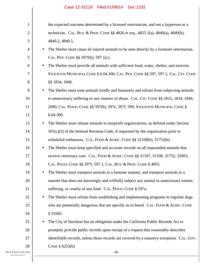| $\mathbf{1}$ |           | the expected outcome determined by a licensed veterinarian, and not a layperson or a       |
|--------------|-----------|--------------------------------------------------------------------------------------------|
| $\mathbf{2}$ |           | technician. CAL. BUS. & PROF. CODE §§ 4826 et seq., 4825.1(a), 4840(a), 4840(b),           |
| 3            |           | 4840.2, 4840.5.                                                                            |
| 4            | $\bullet$ | The Shelter must cause all injured animals to be seen directly by a licensed veterinarian. |
| 5            |           | CAL. PEN. CODE §§ 597f(b), 597.1(c).                                                       |
| 6            | $\bullet$ | The Shelter must provide all animals with sufficient food, water, shelter, and exercise.   |
| 7            |           | STOCKTON MUNICIPAL CODE § 6.04.300; CAL. PEN. CODE § § 597, 597.1; CAL. CIV. CODE          |
| 8            |           | §§ 1834, 1846.                                                                             |
| 9            | $\bullet$ | The Shelter must treat animals kindly and humanely and refrain from subjecting animals     |
| 10           |           | to unnecessary suffering or any manner of abuse. CAL. CIV. CODE §§ 1815, 1834, 1846,       |
| 11           |           | 2080; CAL. PENAL CODE §§ 597(b), 597e, 597f, 599; STOCKTON MUNICIPAL CODE §                |
| 12           |           | 6.04.300.                                                                                  |
| 13           | $\bullet$ | The Shelter must release animals to nonprofit organizations, as defined under Section      |
| 14           |           | $501(c)(3)$ of the Internal Revenue Code, if requested by the organization prior to        |
| 15           |           | scheduled euthanasia. CAL. FOOD & AGRIC. CODE §§ 31108(b), 31752(b).                       |
| 16           | $\bullet$ | The Shelter must keep specified and accurate records on all impounded animals that         |
| 17           |           | receive veterinary care. CAL. FOOD & AGRIC. CODE §§ 31107, 31108, 31752, 32003;            |
| 18           |           | CAL. PENAL CODE §§ 597f, 597.1; CAL. BUS. & PROF. CODE § 4855.                             |
| 19           |           | The Shelter must transport animals in a humane manner, and transport animals in a          |
| 20           |           | manner that does not knowingly and willfully subject any animal to unnecessary torture,    |
| 21           |           | suffering, or cruelty of any kind. CAL. PENAL CODE § 597a.                                 |
| 22           | $\bullet$ | The Shelter must refrain from establishing and implementing programs to regulate dogs      |
| 23           |           | who are potentially dangerous that are specific as to breed. CAL. FOOD & AGRIC. CODE       |
| 24           |           | § 31683.                                                                                   |
| 25           | $\bullet$ | The City of Stockton has an obligation under the California Public Records Act to          |
| 26           |           | promptly provide public records upon receipt of a request that reasonably describes        |
| 27           |           | identifiable records, unless those records are covered by a statutory exception. CAL. GOV. |
| 28           |           | CODE § 6253(b).                                                                            |
| P(US)        |           | $-9-$                                                                                      |
|              |           |                                                                                            |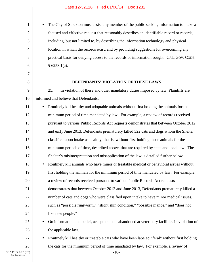• The City of Stockton must assist any member of the public seeking information to make a focused and effective request that reasonably describes an identifiable record or records, including, but not limited to, by describing the information technology and physical location in which the records exist, and by providing suggestions for overcoming any practical basis for denying access to the records or information sought. CAL. GOV. CODE  $§ 6253.1(a).$ 

#### **DEFENDANTS' VIOLATION OF THESE LAWS**

9 10 25. In violation of these and other mandatory duties imposed by law, Plaintiffs are informed and believe that Defendants:

11 12 13 14 15 16 17 18 19 20 21 22 23 24 25 • Routinely kill healthy and adoptable animals without first holding the animals for the minimum period of time mandated by law. For example, a review of records received pursuant to various Public Records Act requests demonstrates that between October 2012 and early June 2013, Defendants prematurely killed 322 cats and dogs whom the Shelter classified upon intake as healthy, that is, without first holding those animals for the minimum periods of time, described above, that are required by state and local law. The Shelter's misinterpretation and misapplication of the law is detailed further below. • Routinely kill animals who have minor or treatable medical or behavioral issues without first holding the animals for the minimum period of time mandated by law. For example, a review of records received pursuant to various Public Records Act requests demonstrates that between October 2012 and June 2013, Defendants prematurely killed a number of cats and dogs who were classified upon intake to have minor medical issues, such as "possible ringworm," "slight skin condition," "possible mange," and "does not like new people." • On information and belief, accept animals abandoned at veterinary facilities in violation of

the applicable law.

• Routinely kill healthy or treatable cats who have been labeled "feral" without first holding the cats for the minimum period of time mandated by law. For example, a review of

-10-

26

27

28

1

2

3

4

5

6

7

8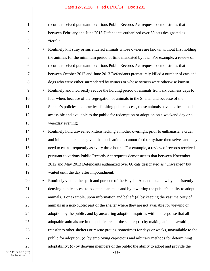records received pursuant to various Public Records Act requests demonstrates that between February and June 2013 Defendants euthanized over 80 cats designated as "feral."

4 5 6 7 8 9 10 11 • Routinely kill stray or surrendered animals whose owners are known without first holding the animals for the minimum period of time mandated by law. For example, a review of records received pursuant to various Public Records Act requests demonstrates that between October 2012 and June 2013 Defendants prematurely killed a number of cats and dogs who were either surrendered by owners or whose owners were otherwise known. • Routinely and incorrectly reduce the holding period of animals from six business days to four when, because of the segregation of animals in the Shelter and because of the Shelter's policies and practices limiting public access, those animals have not been made

accessible and available to the public for redemption or adoption on a weekend day or a weekday evening;

14 15 16 17 18 19 • Routinely hold unweaned kittens lacking a mother overnight prior to euthanasia, a cruel and inhumane practice given that such animals cannot feed or hydrate themselves and may need to eat as frequently as every three hours. For example, a review of records received pursuant to various Public Records Act requests demonstrates that between November 2012 and May 2013 Defendants euthanized over 60 cats designated as "unweaned" but waited until the day after impoundment.

20 21 22 23 24 25 26 27 28 • Routinely violate the spirit and purpose of the Hayden Act and local law by consistently denying public access to adoptable animals and by thwarting the public's ability to adopt animals. For example, upon information and belief: (a) by keeping the vast majority of animals in a non-public part of the shelter where they are not available for viewing or adoption by the public, and by answering adoption inquiries with the response that all adoptable animals are in the public area of the shelter; (b) by making animals awaiting transfer to other shelters or rescue groups, sometimes for days or weeks, unavailable to the public for adoption; (c) by employing capricious and arbitrary methods for determining adoptability; (d) by denying members of the public the ability to adopt and provide the

DLA PIPER LLP (US) SAN FRANCISCO

1

2

3

12

13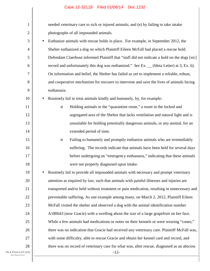| 1              |           | needed veterinary care to sick or injured animals; and (e) by failing to take intake         |  |  |  |  |  |
|----------------|-----------|----------------------------------------------------------------------------------------------|--|--|--|--|--|
| $\overline{2}$ |           | photographs of all impounded animals.                                                        |  |  |  |  |  |
| 3              | $\bullet$ | Euthanize animals with rescue holds in place. For example, in September 2012, the            |  |  |  |  |  |
| 4              |           | Shelter euthanized a dog on which Plaintiff Eileen McFall had placed a rescue hold.          |  |  |  |  |  |
| 5              |           | Defendant Claerbout informed Plaintiff that "staff did not indicate a hold on the dogs [sic] |  |  |  |  |  |
| 6              |           | record and unfortunately this dog was euthanized." See Ex. _ (Ideta Letter) at 3, Ex. 6).    |  |  |  |  |  |
| 7              |           | On information and belief, the Shelter has failed as yet to implement a reliable, robust,    |  |  |  |  |  |
| 8              |           | and cooperative mechanism for rescuers to intervene and save the lives of animals facing     |  |  |  |  |  |
| 9              |           | euthanasia.                                                                                  |  |  |  |  |  |
| 10             | $\bullet$ | Routinely fail to treat animals kindly and humanely, by, for example:                        |  |  |  |  |  |
| 11             |           | Holding animals in the "quarantine room," a room in the locked and<br>$\circ$                |  |  |  |  |  |
| 12             |           | segregated area of the Shelter that lacks ventilation and natural light and is               |  |  |  |  |  |
| 13             |           | unsuitable for holding potentially dangerous animals, or any animal, for an                  |  |  |  |  |  |
| 14             |           | extended period of time.                                                                     |  |  |  |  |  |
| 15             |           | Failing to humanely and promptly euthanize animals who are irremediably<br>$\circ$           |  |  |  |  |  |
| 16             |           | suffering. The records indicate that animals have been held for several days                 |  |  |  |  |  |
| 17             |           | before undergoing an "emergency euthanasia," indicating that these animals                   |  |  |  |  |  |
| 18             |           | were not properly diagnosed upon intake.                                                     |  |  |  |  |  |
| 19             |           | Routinely fail to provide all impounded animals with necessary and prompt veterinary         |  |  |  |  |  |
| 20             |           | attention as required by law, such that animals with painful illnesses and injuries are      |  |  |  |  |  |
| 21             |           | transported and/or held without treatment or pain medication, resulting in unnecessary and   |  |  |  |  |  |
| 22             |           | preventable suffering. As one example among many, on March 2, 2012, Plaintiff Eileen         |  |  |  |  |  |
| 23             |           | McFall visited the shelter and observed a dog with the animal identification number          |  |  |  |  |  |
| 24             |           | A180643 (now Gracie) with a swelling about the size of a large grapefruit on her face.       |  |  |  |  |  |
| 25             |           | While a few animals had medications or notes on their kennels or were wearing "cones,"       |  |  |  |  |  |
| 26             |           | there was no indication that Gracie had received any veterinary care. Plaintiff McFall was,  |  |  |  |  |  |
| 27             |           | with some difficulty, able to rescue Gracie and obtain her kennel card and record, and       |  |  |  |  |  |
| 28             |           | there was no record of veterinary care for what was, after rescue, diagnosed as an abscess   |  |  |  |  |  |
| P(US)          |           | $-12-$                                                                                       |  |  |  |  |  |

DLA PIPER LLP San Francisco

I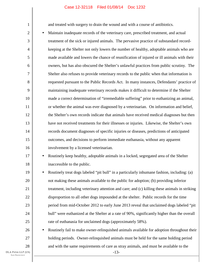and treated with surgery to drain the wound and with a course of antibiotics.

2 3 4 5 6 8 10 12 13 14 15 16 • Maintain inadequate records of the veterinary care, prescribed treatment, and actual treatment of the sick or injured animals. The pervasive practice of substandard recordkeeping at the Shelter not only lowers the number of healthy, adoptable animals who are made available and lowers the chance of reunification of injured or ill animals with their owners, but has also obscured the Shelter's unlawful practices from public scrutiny. The Shelter also refuses to provide veterinary records to the public when that information is requested pursuant to the Public Records Act. In many instances, Defendants' practice of maintaining inadequate veterinary records makes it difficult to determine if the Shelter made a correct determination of "irremediable suffering" prior to euthanizing an animal, or whether the animal was ever diagnosed by a veterinarian. On information and belief, the Shelter's own records indicate that animals have received medical diagnoses but then have not received treatments for their illnesses or injuries. Likewise, the Shelter's own records document diagnoses of specific injuries or diseases, predictions of anticipated outcomes, and decisions to perform immediate euthanasia, without any apparent involvement by a licensed veterinarian.

## 17 18

19

20

21

22

23

24

25

26

27

28

1

7

9

11

• Routinely keep healthy, adoptable animals in a locked, segregated area of the Shelter inaccessible to the public.

• Routinely treat dogs labeled "pit bull" in a particularly inhumane fashion, including: (a) not making these animals available to the public for adoption; (b) providing inferior treatment, including veterinary attention and care; and (c) killing these animals in striking disproportion to all other dogs impounded at the shelter. Public records for the time period from mid-October 2012 to early June 2013 reveal that unclaimed dogs labeled "pit bull" were euthanized at the Shelter at a rate of 90%, significantly higher than the overall rate of euthanasia for unclaimed dogs (approximately 58%).

• Routinely fail to make owner-relinquished animals available for adoption throughout their holding periods. Owner-relinquished animals must be held for the same holding period and with the same requirements of care as stray animals, and must be available to the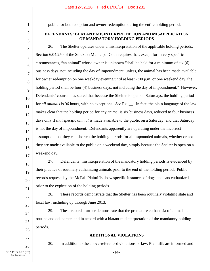2

3

1

public for both adoption and owner-redemption during the entire holding period.

## **DEFENDANTS' BLATANT MISINTERPRETATION AND MISAPPLICATION OF MANDATORY HOLDING PERIODS**

4 5 6 7 8 9 10 11 12 13 14 15 16 17 26. The Shelter operates under a misinterpretation of the applicable holding periods. Section 6.04.250 of the Stockton Municipal Code requires that, except for in very specific circumstances, "an animal" whose owner is unknown "shall be held for a minimum of six (6) business days, not including the day of impoundment; unless, the animal has been made available for owner redemption on one weekday evening until at least 7:00 p.m. or one weekend day, the holding period shall be four (4) business days, not including the day of impoundment." However, Defendants' counsel has stated that because the Shelter is open on Saturdays, the holding period for *all animals* is 96 hours, with no exceptions. *See* Ex. . In fact, the plain language of the law makes clear that the holding period for any animal is six business days, reduced to four business days only if *that specific animal* is made available to the public on a Saturday, and that Saturday is not the day of impoundment. Defendants apparently are operating under the incorrect assumption that they can shorten the holding periods for all impounded animals, whether or not they are made available to the public on a weekend day, simply because the Shelter is open on a weekend day.

18 19 20 21 27. Defendants' misinterpretation of the mandatory holding periods is evidenced by their practice of routinely euthanizing animals prior to the end of the holding period. Public records requests by the McFall Plaintiffs show specific instances of dogs and cats euthanized prior to the expiration of the holding periods.

28. These records demonstrate that the Shelter has been routinely violating state and local law, including up through June 2013.

29. These records further demonstrate that the premature euthanasia of animals is routine and deliberate, and in accord with a blatant misinterpretation of the mandatory holding periods.

27 28

22

23

24

25

26

## **ADDITIONAL VIOLATIONS**

30. In addition to the above-referenced violations of law, Plaintiffs are informed and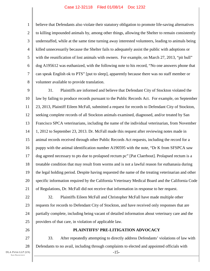1 2 3 4 5 6 7 8 believe that Defendants also violate their statutory obligation to promote life-saving alternatives to killing impounded animals by, among other things, allowing the Shelter to remain consistently understaffed, while at the same time turning away interested volunteers, leading to animals being killed unnecessarily because the Shelter fails to adequately assist the public with adoptions or with the reunification of lost animals with owners. For example, on March 27, 2013, "pit bull" dog A195612 was euthanized, with the following note to his record, "No one answers phone that can speak English ok to PTS" [put to sleep], apparently because there was no staff member or volunteer available to provide translation.

9 10 11 12 13 14 15 16 17 18 19 20 21 31. Plaintiffs are informed and believe that Defendant City of Stockton violated the law by failing to produce records pursuant to the Public Records Act. For example, on September 23, 2013, Plaintiff Eileen McFall, submitted a request for records to Defendant City of Stockton, seeking complete records of all Stockton animals examined, diagnosed, and/or treated by San Francisco SPCA veterinarians, including the name of the individual veterinarian, from November 1, 2012 to September 23, 2013. Dr. McFall made this request after reviewing notes made in animal records received through other Public Records Act requests, including the record for a puppy with the animal identification number A190595 with the note, "Dr K from SFSPCA saw dog agreed necessary to pts due to prolapsed rectum pc" [Pat Claerbout]. Prolapsed rectum is a treatable condition that may result from worms and is not a lawful reason for euthanasia during the legal holding period. Despite having requested the name of the treating veterinarian and other specific information required by the California Veterinary Medical Board and the California Code of Regulations, Dr. McFall did not receive that information in response to her request.

22 23 24 25 32. Plaintiffs Eileen McFall and Christopher McFall have made multiple other requests for records to Defendant City of Stockton, and have received only responses that are partially complete, including being vacant of detailed information about veterinary care and the providers of that care, in violation of applicable law.

26

## **PLAINTIFFS' PRE-LITIGATION ADVOCACY**

27 28 -15- 33. After repeatedly attempting to directly address Defendants' violations of law with Defendants to no avail, including through complaints to elected and appointed officials with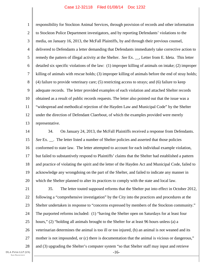1 2 3 4 5 6 7 8 9 10 11 12 13 responsibility for Stockton Animal Services, through provision of records and other information to Stockton Police Department investigators, and by reporting Defendants' violations to the media, on January 16, 2013, the McFall Plaintiffs, by and through their previous counsel, delivered to Defendants a letter demanding that Defendants immediately take corrective action to remedy the pattern of illegal activity at the Shelter. *See* Ex. \_\_, Letter from E. Ideta. This letter detailed six specific violations of the law: (1) improper killing of animals on intake; (2) improper killing of animals with rescue holds; (3) improper killing of animals before the end of stray holds; (4) failure to provide veterinary care; (5) restricting access to strays; and (6) failure to keep adequate records. The letter provided examples of each violation and attached Shelter records obtained as a result of public records requests. The letter also pointed out that the issue was a "widespread and methodical rejection of the Hayden Law and Municipal Code" by the Shelter under the direction of Defendant Claerbout, of which the examples provided were merely representative.

14 15 16 17 18 19 20 34. On January 24, 2013, the McFall Plaintiffs received a response from Defendants. *See* Ex. . The letter listed a number of Shelter policies and asserted that those policies conformed to state law. The letter attempted to account for each individual example violation, but failed to substantively respond to Plaintiffs' claims that the Shelter had established a pattern and practice of violating the spirit and the letter of the Hayden Act and Municipal Code, failed to acknowledge any wrongdoing on the part of the Shelter, and failed to indicate any manner in which the Shelter planned to alter its practices to comply with the state and local law.

21 22 23 24 25 26 27 28 -16- 35. The letter touted supposed reforms that the Shelter put into effect in October 2012, following a "comprehensive investigation" by the City into the practices and procedures at the Shelter undertaken in response to "concerns expressed by members of the Stockton community." The purported reforms included: (1) "having the Shelter open on Saturdays for at least four hours," (2) "holding all animals brought to the Shelter for at least 96 hours unless (a) a veterinarian determines the animal is too ill or too injured, (b) an animal is not weaned and its mother is not impounded, or (c) there is documentation that the animal is vicious or dangerous," and (3) upgrading the Shelter's computer system "so that Shelter staff may input and retrieve

DLA PIPER LLP (US) SAN FRANCISCO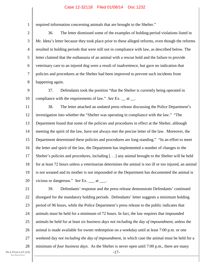required information concerning animals that are brought to the Shelter."

3 4 5 6 7 8 36. The letter dismissed some of the examples of holding-period violations listed in Mr. Ideta's letter because they took place prior to these alleged reforms, even though the reforms resulted in holding periods that were still not in compliance with law, as described below. The letter claimed that the euthanasia of an animal with a rescue hold and the failure to provide veterinary care to an injured dog were a result of inadvertence, but gave no indication that policies and procedures at the Shelter had been improved to prevent such incidents from happening again.

9 10 37. Defendants took the position "that the Shelter is currently being operated in compliance with the requirements of law." *See* Ex. at .

11 12 13 14 15 16 17 18 19 20 38. The letter attached an undated press release discussing the Police Department's investigation into whether the "Shelter was operating in compliance with the law." "The Department found that some of the policies and procedures in effect at the Shelter, although meeting the spirit of the law, have not always met the precise letter of the law. Moreover, the Department determined these policies and procedures are long standing." "In an effort to meet the letter and spirit of the law, the Department has implemented a number of changes to the Shelter's policies and procedures, including [. . .] any animal brought to the Shelter will be held for at least 72 hours unless a veterinarian determines the animal is too ill or too injured, an animal is not weaned and its mother is not impounded or the Department has documented the animal is vicious or dangerous." *See* Ex. \_\_\_ at \_\_\_.

DLA PIPER LLP (US) SAN FRANCISCO 21 22 23 24 25 26 27 28 -17- 39. Defendants' response and the press release demonstrate Defendants' continued disregard for the mandatory holding periods. Defendants' letter suggests a minimum holding period of 96 hours, while the Police Department's press release to the public indicates that animals must be held for a minimum of 72 hours. In fact, the law requires that impounded animals be held for at least *six business days not including the day of impoundment*, unless the animal is made available for owner redemption on a weekday until at least 7:00 p.m. or one weekend day *not including the day of impoundment*, in which case the animal must be held for a minimum of *four business days*. As the Shelter is never open until 7:00 p.m., there are many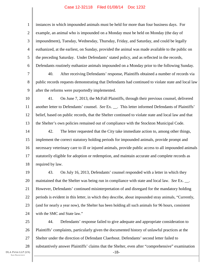1 2 3 4 5 6 7 8 9 10 11 12 13 14 15 16 17 18 19 20 21 22 23 24 25 26 27 instances in which impounded animals must be held for more than four business days. For example, an animal who is impounded on a Monday must be held on Monday (the day of impoundment), Tuesday, Wednesday, Thursday, Friday, and Saturday, and could be legally euthanized, at the earliest, on Sunday, provided the animal was made available to the public on the preceding Saturday. Under Defendants' stated policy, and as reflected in the records, Defendants routinely euthanize animals impounded on a Monday prior to the following Sunday. 40. After receiving Defendants' response, Plaintiffs obtained a number of records via public records requests demonstrating that Defendants had continued to violate state and local law after the reforms were purportedly implemented. 41. On June 7, 2013, the McFall Plaintiffs, through their previous counsel, delivered another letter to Defendants' counsel. *See* Ex. \_\_. This letter informed Defendants of Plaintiffs' belief, based on public records, that the Shelter continued to violate state and local law and that the Shelter's own policies remained out of compliance with the Stockton Municipal Code. 42. The letter requested that the City take immediate action to, among other things, implement the correct statutory holding periods for impounded animals, provide prompt and necessary veterinary care to ill or injured animals, provide public access to all impounded animals statutorily eligible for adoption or redemption, and maintain accurate and complete records as required by law. 43. On July 16, 2013, Defendants' counsel responded with a letter in which they maintained that the Shelter was being run in compliance with state and local law. *See* Ex. \_\_. However, Defendants' continued misinterpretation of and disregard for the mandatory holding periods is evident in this letter, in which they describe, about impounded stray animals, "Currently, (and for nearly a year now), the Shelter has been holding all such animals for 96 hours, consistent with the SMC and State law." 44. Defendants' response failed to give adequate and appropriate consideration to Plaintiffs' complaints, particularly given the documented history of unlawful practices at the Shelter under the direction of Defendant Claerbout. Defendants' second letter failed to

DLA PIPER LLP (US) SAN FRANCISCO

28

-18 substantively answer Plaintiffs' claims that the Shelter, even after "comprehensive" examination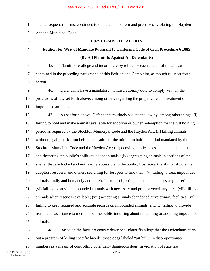1 2 3 4 5 6 7 8 9 10 11 12 13 14 15 16 17 18 19 20 21 22 23 24 25 26 and subsequent reforms, continued to operate in a pattern and practice of violating the Hayden Act and Municipal Code. **FIRST CAUSE OF ACTION Petition for Writ of Mandate Pursuant to California Code of Civil Procedure § 1085 (By All Plaintiffs Against All Defendants)**  45. Plaintiffs re-allege and incorporate by reference each and all of the allegations contained in the preceding paragraphs of this Petition and Complaint, as though fully set forth herein. 46. Defendants have a mandatory, nondiscretionary duty to comply with all the provisions of law set forth above, among others, regarding the proper care and treatment of impounded animals. 47. As set forth above, Defendants routinely violate the law by, among other things, (i) failing to hold and make animals available for adoption or owner redemption for the full holding period as required by the Stockton Municipal Code and the Hayden Act; (ii) killing animals without legal justification before expiration of the minimum holding period mandated by the Stockton Municipal Code and the Hayden Act; (iii) denying public access to adoptable animals and thwarting the public's ability to adopt animals ; (iv) segregating animals in sections of the shelter that are locked and not readily accessible to the public, frustrating the ability of potential adopters, rescuers, and owners searching for lost pets to find them; (v) failing to treat impounded animals kindly and humanely and to refrain from subjecting animals to unnecessary suffering; (vi) failing to provide impounded animals with necessary and prompt veterinary care; (vii) killing animals when rescue is available; (viii) accepting animals abandoned at veterinary facilities; (ix) failing to keep required and accurate records on impounded animals, and (x) failing to provide reasonable assistance to members of the public inquiring about reclaiming or adopting impounded animals. 48. Based on the facts previously described, Plaintiffs allege that the Defendants carry

27 28 out a program of killing specific breeds, those dogs labeled "pit bull," in disproportionate numbers as a means of controlling potentially dangerous dogs, in violation of state law

-19-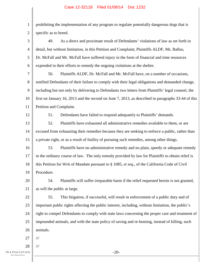1 2 prohibiting the implementation of any program to regulate potentially dangerous dogs that is specific as to breed.

3 4 5 6 49. As a direct and proximate result of Defendants' violations of law as set forth in detail, but without limitation, in this Petition and Complaint, Plaintiffs ALDF, Ms. Ballus, Dr. McFall and Mr. McFall have suffered injury in the form of financial and time resources expended in their efforts to remedy the ongoing violations at the shelter.

7 8 9 10 11 50. Plaintiffs ALDF, Dr. McFall and Mr. McFall have, on a number of occasions, notified Defendants of their failure to comply with their legal obligations and demanded change, including but not only by delivering to Defendants two letters from Plaintiffs' legal counsel, the first on January 16, 2013 and the second on June 7, 2013, as described in paragraphs 33-44 of this Petition and Complaint.

12

51. Defendants have failed to respond adequately to Plaintiffs' demands.

13 14 15 52. Plaintiffs have exhausted all administrative remedies available to them, or are excused from exhausting their remedies because they are seeking to enforce a public, rather than a private right, or as a result of futility of pursuing such remedies, among other things.

16 17 18 19 53. Plaintiffs have no administrative remedy and no plain, speedy or adequate remedy in the ordinary course of law. The only remedy provided by law for Plaintiffs to obtain relief is this Petition for Writ of Mandate pursuant to § 1085, *et seq*., of the California Code of Civil Procedure.

20 21 54. Plaintiffs will suffer irreparable harm if the relief requested herein is not granted, as will the public at large.

22 23 24 25 26 55. This litigation, if successful, will result in enforcement of a public duty and of important public rights affecting the public interest, including, without limitation, the public's right to compel Defendants to comply with state laws concerning the proper care and treatment of impounded animals, and with the state policy of saving and re-homing, instead of killing, such animals.

27 ///

28 ///

-20-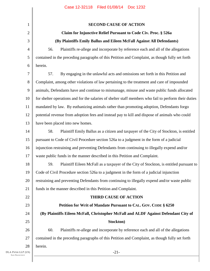| $\mathbf{1}$ | <b>SECOND CAUSE OF ACTION</b>                                                                         |
|--------------|-------------------------------------------------------------------------------------------------------|
| $\mathbf{2}$ | Claim for Injunctive Relief Pursuant to Code Civ. Proc. § 526a                                        |
| 3            | (By Plaintiffs Emily Ballus and Eileen McFall Against All Defendants)                                 |
| 4            | 56.<br>Plaintiffs re-allege and incorporate by reference each and all of the allegations              |
| 5            | contained in the preceding paragraphs of this Petition and Complaint, as though fully set forth       |
| 6            | herein.                                                                                               |
| 7            | 57.<br>By engaging in the unlawful acts and omissions set forth in this Petition and                  |
| $8\,$        | Complaint, among other violations of law pertaining to the treatment and care of impounded            |
| 9            | animals, Defendants have and continue to mismanage, misuse and waste public funds allocated           |
| 10           | for shelter operations and for the salaries of shelter staff members who fail to perform their duties |
| 11           | mandated by law. By euthanizing animals rather than promoting adoption, Defendants forgo              |
| 12           | potential revenue from adoption fees and instead pay to kill and dispose of animals who could         |
| 13           | have been placed into new homes.                                                                      |
| 14           | Plaintiff Emily Ballus as a citizen and taxpayer of the City of Stockton, is entitled<br>58.          |
| 15           | pursuant to Code of Civil Procedure section 526a to a judgment in the form of a judicial              |
| 16           | injunction restraining and preventing Defendants from continuing to illegally expend and/or           |
| 17           | waste public funds in the manner described in this Petition and Complaint.                            |
| 18           | 59.<br>Plaintiff Eileen McFall as a taxpayer of the City of Stockton, is entitled pursuant to         |
| 19           | Code of Civil Procedure section 526a to a judgment in the form of a judicial injunction               |
| 20           | restraining and preventing Defendants from continuing to illegally expend and/or waste public         |
| 21           | funds in the manner described in this Petition and Complaint.                                         |
| 22           | <b>THIRD CAUSE OF ACTION</b>                                                                          |
| 23           | Petition for Writ of Mandate Pursuant to CAL. GOV. CODE § 6250                                        |
| 24           | (By Plaintiffs Eileen McFall, Christopher McFall and ALDF Against Defendant City of                   |
| 25           | Stockton)                                                                                             |
| 26           | 60.<br>Plaintiffs re-allege and incorporate by reference each and all of the allegations              |
| 27           | contained in the preceding paragraphs of this Petition and Complaint, as though fully set forth       |
| 28           | herein.                                                                                               |
| P(US)        | $-21-$                                                                                                |

I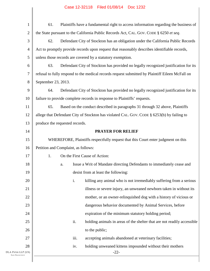| $\mathbf{1}$                               | 61.<br>Plaintiffs have a fundamental right to access information regarding the business of      |  |  |  |
|--------------------------------------------|-------------------------------------------------------------------------------------------------|--|--|--|
| $\overline{2}$                             | the State pursuant to the California Public Records Act, CAL. GOV. CODE § 6250 et seq.          |  |  |  |
| 3                                          | 62.<br>Defendant City of Stockton has an obligation under the California Public Records         |  |  |  |
| 4                                          | Act to promptly provide records upon request that reasonably describes identifiable records,    |  |  |  |
| 5                                          | unless those records are covered by a statutory exemption.                                      |  |  |  |
| 6                                          | 63.<br>Defendant City of Stockton has provided no legally recognized justification for its      |  |  |  |
| 7                                          | refusal to fully respond to the medical records request submitted by Plaintiff Eileen McFall on |  |  |  |
| 8                                          | September 23, 2013.                                                                             |  |  |  |
| 9                                          | 64.<br>Defendant City of Stockton has provided no legally recognized justification for its      |  |  |  |
| 10                                         | failure to provide complete records in response to Plaintiffs' requests.                        |  |  |  |
| 11                                         | 65.<br>Based on the conduct described in paragraphs 31 through 32 above, Plaintiffs             |  |  |  |
| 12                                         | allege that Defendant City of Stockton has violated CAL. GOV. CODE § 6253(b) by failing to      |  |  |  |
| 13                                         | produce the requested records.                                                                  |  |  |  |
| 14                                         | <b>PRAYER FOR RELIEF</b>                                                                        |  |  |  |
| 15                                         | WHEREFORE, Plaintiffs respectfully request that this Court enter judgment on this               |  |  |  |
| 16                                         | Petition and Complaint, as follows:                                                             |  |  |  |
| 17                                         | 1.<br>On the First Cause of Action:                                                             |  |  |  |
| 18                                         | Issue a Writ of Mandate directing Defendants to immediately cease and<br>a.                     |  |  |  |
| 19                                         | desist from at least the following:                                                             |  |  |  |
| 20                                         | i.<br>killing any animal who is not irremediably suffering from a serious                       |  |  |  |
| 21                                         | illness or severe injury, an unweaned newborn taken in without its                              |  |  |  |
| 22                                         | mother, or an owner-relinquished dog with a history of vicious or                               |  |  |  |
| 23                                         | dangerous behavior documented by Animal Services, before                                        |  |  |  |
| 24                                         | expiration of the minimum statutory holding period;                                             |  |  |  |
| 25                                         | ii.<br>holding animals in areas of the shelter that are not readily accessible                  |  |  |  |
| 26                                         | to the public;                                                                                  |  |  |  |
| 27                                         | iii.<br>accepting animals abandoned at veterinary facilities;                                   |  |  |  |
| 28                                         | holding unweaned kittens impounded without their mothers<br>iv.                                 |  |  |  |
| DLA PIPER LLP (US)<br><b>SAN FRANCISCO</b> | $-22-$                                                                                          |  |  |  |
|                                            |                                                                                                 |  |  |  |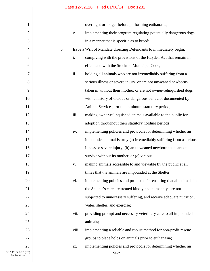| $\mathbf{1}$                               |    |       | overnight or longer before performing euthanasia;                    |
|--------------------------------------------|----|-------|----------------------------------------------------------------------|
| $\mathbf{2}$                               |    | V.    | implementing their program regulating potentially dangerous dogs     |
| 3                                          |    |       | in a manner that is specific as to breed;                            |
| $\overline{4}$                             | b. |       | Issue a Writ of Mandate directing Defendants to immediately begin:   |
| 5                                          |    | i.    | complying with the provisions of the Hayden Act that remain in       |
| 6                                          |    |       | effect and with the Stockton Municipal Code;                         |
| 7                                          |    | ii.   | holding all animals who are not irremediably suffering from a        |
| $8\,$                                      |    |       | serious illness or severe injury, or are not unweaned newborns       |
| 9                                          |    |       | taken in without their mother, or are not owner-relinquished dogs    |
| 10                                         |    |       | with a history of vicious or dangerous behavior documented by        |
| 11                                         |    |       | Animal Services, for the minimum statutory period;                   |
| 12                                         |    | iii.  | making owner-relinquished animals available to the public for        |
| 13                                         |    |       | adoption throughout their statutory holding periods;                 |
| 14                                         |    | iv.   | implementing policies and protocols for determining whether an       |
| 15                                         |    |       | impounded animal is truly (a) irremediably suffering from a serious  |
| 16                                         |    |       | illness or severe injury, (b) an unweaned newborn that cannot        |
| 17                                         |    |       | survive without its mother, or (c) vicious;                          |
| 18                                         |    | V.    | making animals accessible to and viewable by the public at all       |
| 19                                         |    |       | times that the animals are impounded at the Shelter;                 |
| 20                                         |    | vi.   | implementing policies and protocols for ensuring that all animals in |
| 21                                         |    |       | the Shelter's care are treated kindly and humanely, are not          |
| 22                                         |    |       | subjected to unnecessary suffering, and receive adequate nutrition,  |
| 23                                         |    |       | water, shelter, and exercise;                                        |
| 24                                         |    | vii.  | providing prompt and necessary veterinary care to all impounded      |
| 25                                         |    |       | animals;                                                             |
| 26                                         |    | viii. | implementing a reliable and robust method for non-profit rescue      |
| 27                                         |    |       | groups to place holds on animals prior to euthanasia;                |
| 28                                         |    | ix.   | implementing policies and protocols for determining whether an       |
| DLA PIPER LLP (US)<br><b>SAN FRANCISCO</b> |    |       | $-23-$                                                               |
|                                            |    |       |                                                                      |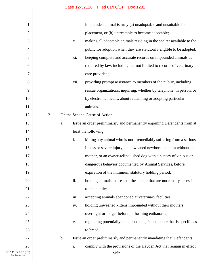| 1                                          | impounded animal is truly (a) unadoptable and unsuitable for                             |
|--------------------------------------------|------------------------------------------------------------------------------------------|
| $\overline{c}$                             | placement, or (b) untreatable to become adoptable;                                       |
| 3                                          | making all adoptable animals residing in the shelter available to the<br>X.              |
| $\overline{4}$                             | public for adoption when they are statutorily eligible to be adopted;                    |
| 5                                          | keeping complete and accurate records on impounded animals as<br>xi.                     |
| 6                                          | required by law, including but not limited to records of veterinary                      |
| 7                                          | care provided;                                                                           |
| 8                                          | xii.<br>providing prompt assistance to members of the public, including                  |
| 9                                          | rescue organizations, inquiring, whether by telephone, in person, or                     |
| 10                                         | by electronic means, about reclaiming or adopting particular                             |
| 11                                         | animals.                                                                                 |
| 12                                         | 2.<br>On the Second Cause of Action:                                                     |
| 13                                         | Issue an order preliminarily and permanently enjoining Defendants from at<br>a.          |
| 14                                         | least the following:                                                                     |
| 15                                         | $\mathbf{i}$ .<br>killing any animal who is not irremediably suffering from a serious    |
| 16                                         | illness or severe injury, an unweaned newborn taken in without its                       |
| 17                                         | mother, or an owner-relinquished dog with a history of vicious or                        |
| 18                                         | dangerous behavior documented by Animal Services, before                                 |
| 19                                         | expiration of the minimum statutory holding period;                                      |
| 20                                         | ii.<br>holding animals in areas of the shelter that are not readily accessible           |
| 21                                         | to the public;                                                                           |
| 22                                         | iii.<br>accepting animals abandoned at veterinary facilities;                            |
| 23                                         | holding unweaned kittens impounded without their mothers<br>iv.                          |
| 24                                         | overnight or longer before performing euthanasia;                                        |
| 25                                         | regulating potentially dangerous dogs in a manner that is specific as<br>V.              |
| 26                                         | to breed;                                                                                |
| 27                                         | Issue an order preliminarily and permanently mandating that Defendants:<br>$\mathbf b$ . |
| 28                                         | i.<br>comply with the provisions of the Hayden Act that remain in effect                 |
| DLA PIPER LLP (US)<br><b>SAN FRANCISCO</b> | $-24-$                                                                                   |
|                                            |                                                                                          |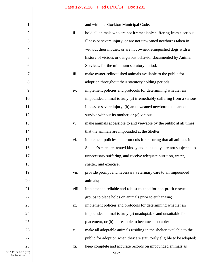and with the Stockton Municipal Code;

| 1                                          |       | and with the Stockton Municipal Code;                                 |
|--------------------------------------------|-------|-----------------------------------------------------------------------|
| $\mathfrak{2}$                             | ii.   | hold all animals who are not irremediably suffering from a serious    |
| 3                                          |       | illness or severe injury, or are not unweaned newborns taken in       |
| $\overline{4}$                             |       | without their mother, or are not owner-relinquished dogs with a       |
| 5                                          |       | history of vicious or dangerous behavior documented by Animal         |
| 6                                          |       | Services, for the minimum statutory period;                           |
| 7                                          | iii.  | make owner-relinquished animals available to the public for           |
| 8                                          |       | adoption throughout their statutory holding periods;                  |
| 9                                          | iv.   | implement policies and protocols for determining whether an           |
| 10                                         |       | impounded animal is truly (a) irremediably suffering from a serious   |
| 11                                         |       | illness or severe injury, (b) an unweaned newborn that cannot         |
| 12                                         |       | survive without its mother, or (c) vicious;                           |
| 13                                         | V.    | make animals accessible to and viewable by the public at all times    |
| 14                                         |       | that the animals are impounded at the Shelter;                        |
| 15                                         | vi.   | implement policies and protocols for ensuring that all animals in the |
| 16                                         |       | Shelter's care are treated kindly and humanely, are not subjected to  |
| 17                                         |       | unnecessary suffering, and receive adequate nutrition, water,         |
| 18                                         |       | shelter, and exercise;                                                |
| 19                                         | vii.  | provide prompt and necessary veterinary care to all impounded         |
| 20                                         |       | animals;                                                              |
| 21                                         | viii. | implement a reliable and robust method for non-profit rescue          |
| 22                                         |       | groups to place holds on animals prior to euthanasia;                 |
| 23                                         | ix.   | implement policies and protocols for determining whether an           |
| 24                                         |       | impounded animal is truly (a) unadoptable and unsuitable for          |
| 25                                         |       | placement, or (b) untreatable to become adoptable;                    |
| 26                                         | X.    | make all adoptable animals residing in the shelter available to the   |
| 27                                         |       | public for adoption when they are statutorily eligible to be adopted; |
| 28                                         | xi.   | keep complete and accurate records on impounded animals as            |
| DLA PIPER LLP (US)<br><b>SAN FRANCISCO</b> |       | $-25-$                                                                |
|                                            |       |                                                                       |